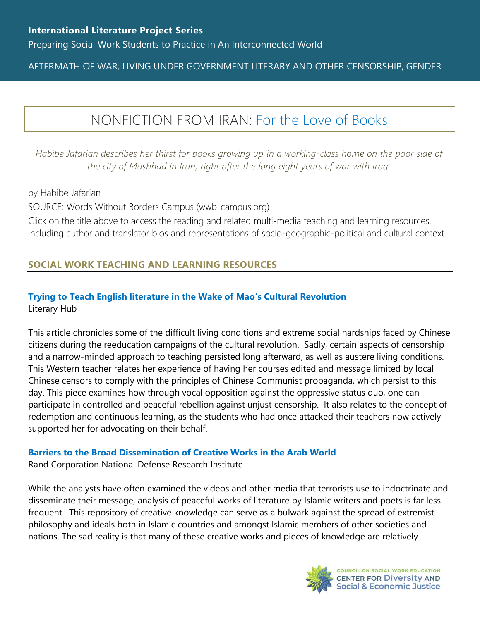Preparing Social Work Students to Practice in An Interconnected World

### AFTERMATH OF WAR, LIVING UNDER GOVERNMENT LITERARY AND OTHER CENSORSHIP, GENDER

# NONFICTION FROM IRAN: [For the Love of Books](https://www.wwb-campus.org/literature/for-the-love-of-the-books)

*Habibe Jafarian describes her thirst for books growing up in a working-class home on the poor side of the city of Mashhad in Iran, right after the long eight years of war with Iraq.*

by Habibe Jafarian

SOURCE: Words Without Borders Campus (wwb-campus.org)

Click on the title above to access the reading and related multi-media teaching and learning resources, including author and translator bios and representations of socio-geographic-political and cultural context.

### **SOCIAL WORK TEACHING AND LEARNING RESOURCES**

## **[Trying to Teach English literature in the Wake of Mao's Cultural Revolution](https://lithub.com/trying-to-teach-english-literature-in-the-wake-of-maos-cultural-revolution/)**

Literary Hub

This article chronicles some of the difficult living conditions and extreme social hardships faced by Chinese citizens during the reeducation campaigns of the cultural revolution. Sadly, certain aspects of censorship and a narrow-minded approach to teaching persisted long afterward, as well as austere living conditions. This Western teacher relates her experience of having her courses edited and message limited by local Chinese censors to comply with the principles of Chinese Communist propaganda, which persist to this day. This piece examines how through vocal opposition against the oppressive status quo, one can participate in controlled and peaceful rebellion against unjust censorship. It also relates to the concept of redemption and continuous learning, as the students who had once attacked their teachers now actively supported her for advocating on their behalf.

#### **[Barriers to the Broad Dissemination of Creative Works in the Arab World](https://www.rand.org/content/dam/rand/pubs/monographs/2009/RAND_MG879.pdf)**

Rand Corporation National Defense Research Institute

While the analysts have often examined the videos and other media that terrorists use to indoctrinate and disseminate their message, analysis of peaceful works of literature by Islamic writers and poets is far less frequent. This repository of creative knowledge can serve as a bulwark against the spread of extremist philosophy and ideals both in Islamic countries and amongst Islamic members of other societies and nations. The sad reality is that many of these creative works and pieces of knowledge are relatively